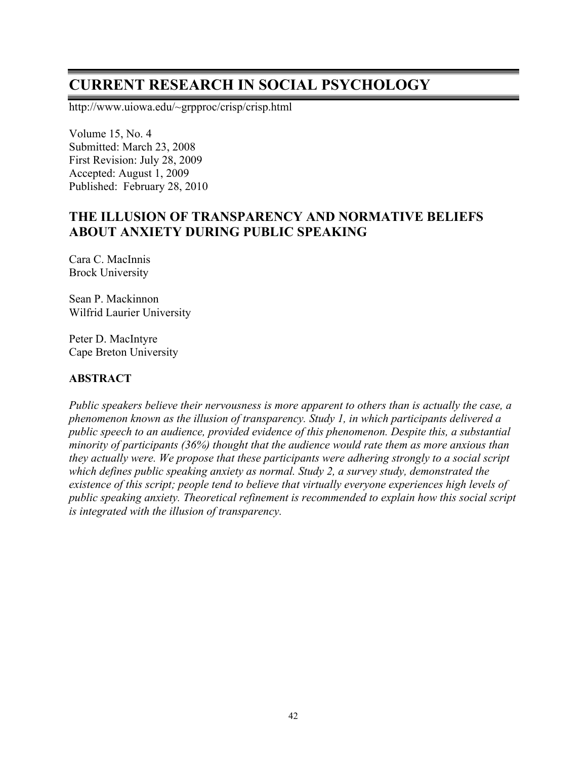# **CURRENT RESEARCH IN SOCIAL PSYCHOLOGY**

http://www.uiowa.edu/~grpproc/crisp/crisp.html

Volume 15, No. 4 Submitted: March 23, 2008 First Revision: July 28, 2009 Accepted: August 1, 2009 Published: February 28, 2010

# **THE ILLUSION OF TRANSPARENCY AND NORMATIVE BELIEFS ABOUT ANXIETY DURING PUBLIC SPEAKING**

Cara C. MacInnis Brock University

Sean P. Mackinnon Wilfrid Laurier University

Peter D. MacIntyre Cape Breton University

#### **ABSTRACT**

*Public speakers believe their nervousness is more apparent to others than is actually the case, a phenomenon known as the illusion of transparency. Study 1, in which participants delivered a public speech to an audience, provided evidence of this phenomenon. Despite this, a substantial minority of participants (36%) thought that the audience would rate them as more anxious than they actually were. We propose that these participants were adhering strongly to a social script which defines public speaking anxiety as normal. Study 2, a survey study, demonstrated the existence of this script; people tend to believe that virtually everyone experiences high levels of public speaking anxiety. Theoretical refinement is recommended to explain how this social script is integrated with the illusion of transparency.*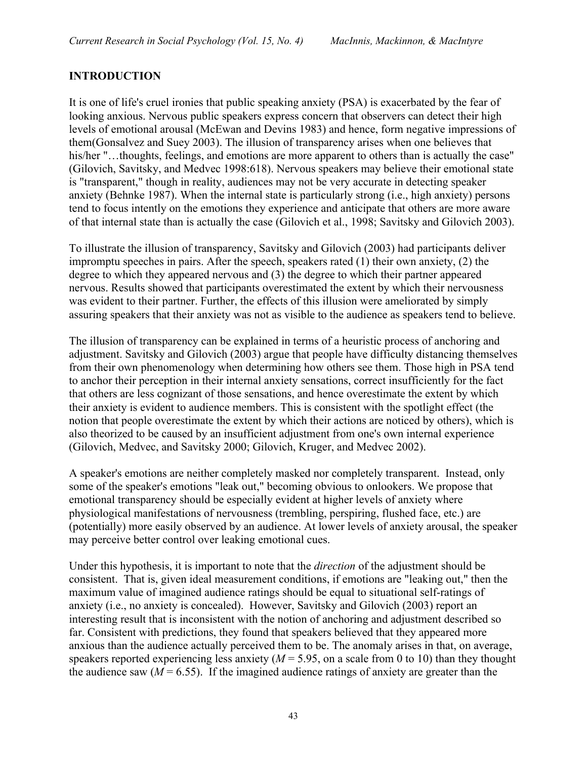#### **INTRODUCTION**

It is one of life's cruel ironies that public speaking anxiety (PSA) is exacerbated by the fear of looking anxious. Nervous public speakers express concern that observers can detect their high levels of emotional arousal (McEwan and Devins 1983) and hence, form negative impressions of them(Gonsalvez and Suey 2003). The illusion of transparency arises when one believes that his/her "...thoughts, feelings, and emotions are more apparent to others than is actually the case" (Gilovich, Savitsky, and Medvec 1998:618). Nervous speakers may believe their emotional state is "transparent," though in reality, audiences may not be very accurate in detecting speaker anxiety (Behnke 1987). When the internal state is particularly strong (i.e., high anxiety) persons tend to focus intently on the emotions they experience and anticipate that others are more aware of that internal state than is actually the case (Gilovich et al., 1998; Savitsky and Gilovich 2003).

To illustrate the illusion of transparency, Savitsky and Gilovich (2003) had participants deliver impromptu speeches in pairs. After the speech, speakers rated (1) their own anxiety, (2) the degree to which they appeared nervous and (3) the degree to which their partner appeared nervous. Results showed that participants overestimated the extent by which their nervousness was evident to their partner. Further, the effects of this illusion were ameliorated by simply assuring speakers that their anxiety was not as visible to the audience as speakers tend to believe.

The illusion of transparency can be explained in terms of a heuristic process of anchoring and adjustment. Savitsky and Gilovich (2003) argue that people have difficulty distancing themselves from their own phenomenology when determining how others see them. Those high in PSA tend to anchor their perception in their internal anxiety sensations, correct insufficiently for the fact that others are less cognizant of those sensations, and hence overestimate the extent by which their anxiety is evident to audience members. This is consistent with the spotlight effect (the notion that people overestimate the extent by which their actions are noticed by others), which is also theorized to be caused by an insufficient adjustment from one's own internal experience (Gilovich, Medvec, and Savitsky 2000; Gilovich, Kruger, and Medvec 2002).

A speaker's emotions are neither completely masked nor completely transparent. Instead, only some of the speaker's emotions "leak out," becoming obvious to onlookers. We propose that emotional transparency should be especially evident at higher levels of anxiety where physiological manifestations of nervousness (trembling, perspiring, flushed face, etc.) are (potentially) more easily observed by an audience. At lower levels of anxiety arousal, the speaker may perceive better control over leaking emotional cues.

Under this hypothesis, it is important to note that the *direction* of the adjustment should be consistent. That is, given ideal measurement conditions, if emotions are "leaking out," then the maximum value of imagined audience ratings should be equal to situational self-ratings of anxiety (i.e., no anxiety is concealed). However, Savitsky and Gilovich (2003) report an interesting result that is inconsistent with the notion of anchoring and adjustment described so far. Consistent with predictions, they found that speakers believed that they appeared more anxious than the audience actually perceived them to be. The anomaly arises in that, on average, speakers reported experiencing less anxiety ( $M = 5.95$ , on a scale from 0 to 10) than they thought the audience saw  $(M = 6.55)$ . If the imagined audience ratings of anxiety are greater than the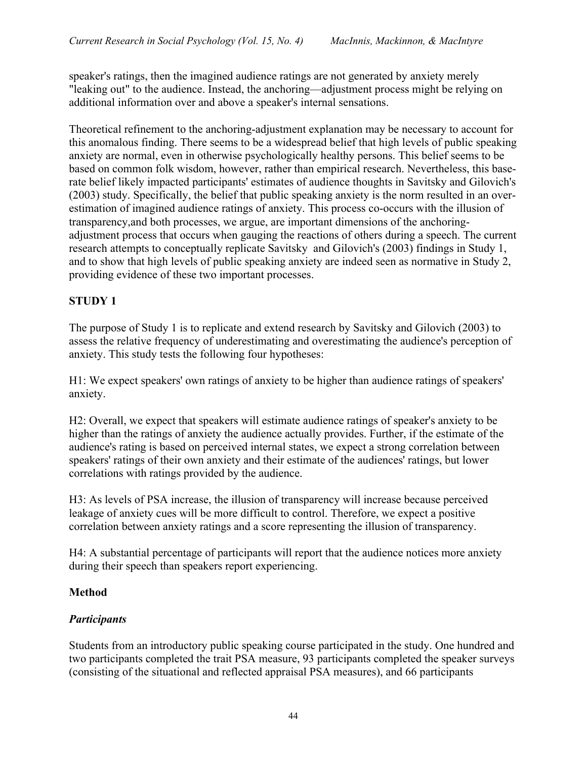speaker's ratings, then the imagined audience ratings are not generated by anxiety merely "leaking out" to the audience. Instead, the anchoring—adjustment process might be relying on additional information over and above a speaker's internal sensations.

Theoretical refinement to the anchoring-adjustment explanation may be necessary to account for this anomalous finding. There seems to be a widespread belief that high levels of public speaking anxiety are normal, even in otherwise psychologically healthy persons. This belief seems to be based on common folk wisdom, however, rather than empirical research. Nevertheless, this baserate belief likely impacted participants' estimates of audience thoughts in Savitsky and Gilovich's (2003) study. Specifically, the belief that public speaking anxiety is the norm resulted in an overestimation of imagined audience ratings of anxiety. This process co-occurs with the illusion of transparency,and both processes, we argue, are important dimensions of the anchoringadjustment process that occurs when gauging the reactions of others during a speech. The current research attempts to conceptually replicate Savitsky and Gilovich's (2003) findings in Study 1, and to show that high levels of public speaking anxiety are indeed seen as normative in Study 2, providing evidence of these two important processes.

### **STUDY 1**

The purpose of Study 1 is to replicate and extend research by Savitsky and Gilovich (2003) to assess the relative frequency of underestimating and overestimating the audience's perception of anxiety. This study tests the following four hypotheses:

H1: We expect speakers' own ratings of anxiety to be higher than audience ratings of speakers' anxiety.

H2: Overall, we expect that speakers will estimate audience ratings of speaker's anxiety to be higher than the ratings of anxiety the audience actually provides. Further, if the estimate of the audience's rating is based on perceived internal states, we expect a strong correlation between speakers' ratings of their own anxiety and their estimate of the audiences' ratings, but lower correlations with ratings provided by the audience.

H3: As levels of PSA increase, the illusion of transparency will increase because perceived leakage of anxiety cues will be more difficult to control. Therefore, we expect a positive correlation between anxiety ratings and a score representing the illusion of transparency.

H4: A substantial percentage of participants will report that the audience notices more anxiety during their speech than speakers report experiencing.

### **Method**

# *Participants*

Students from an introductory public speaking course participated in the study. One hundred and two participants completed the trait PSA measure, 93 participants completed the speaker surveys (consisting of the situational and reflected appraisal PSA measures), and 66 participants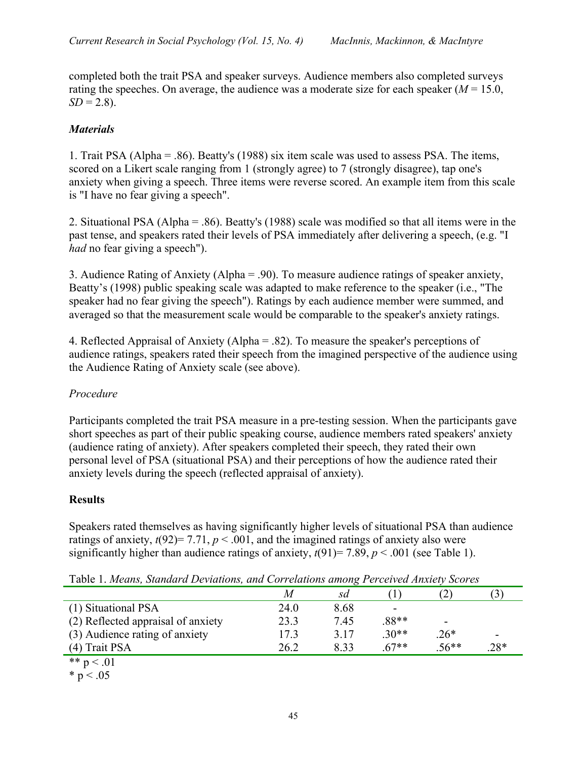completed both the trait PSA and speaker surveys. Audience members also completed surveys rating the speeches. On average, the audience was a moderate size for each speaker  $(M = 15.0,$  $SD = 2.8$ ).

### *Materials*

1. Trait PSA (Alpha = .86). Beatty's (1988) six item scale was used to assess PSA. The items, scored on a Likert scale ranging from 1 (strongly agree) to 7 (strongly disagree), tap one's anxiety when giving a speech. Three items were reverse scored. An example item from this scale is "I have no fear giving a speech".

2. Situational PSA (Alpha = .86). Beatty's (1988) scale was modified so that all items were in the past tense, and speakers rated their levels of PSA immediately after delivering a speech, (e.g. "I *had* no fear giving a speech").

3. Audience Rating of Anxiety (Alpha = .90). To measure audience ratings of speaker anxiety, Beatty's (1998) public speaking scale was adapted to make reference to the speaker (i.e., "The speaker had no fear giving the speech"). Ratings by each audience member were summed, and averaged so that the measurement scale would be comparable to the speaker's anxiety ratings.

4. Reflected Appraisal of Anxiety (Alpha = .82). To measure the speaker's perceptions of audience ratings, speakers rated their speech from the imagined perspective of the audience using the Audience Rating of Anxiety scale (see above).

### *Procedure*

Participants completed the trait PSA measure in a pre-testing session. When the participants gave short speeches as part of their public speaking course, audience members rated speakers' anxiety (audience rating of anxiety). After speakers completed their speech, they rated their own personal level of PSA (situational PSA) and their perceptions of how the audience rated their anxiety levels during the speech (reflected appraisal of anxiety).

### **Results**

Speakers rated themselves as having significantly higher levels of situational PSA than audience ratings of anxiety,  $t(92)= 7.71$ ,  $p < .001$ , and the imagined ratings of anxiety also were significantly higher than audience ratings of anxiety,  $t(91)=7.89$ ,  $p < .001$  (see Table 1).

|                                    |      | . .  |        |           |                          |
|------------------------------------|------|------|--------|-----------|--------------------------|
|                                    | M    | sd   |        | $\hat{Z}$ |                          |
| (1) Situational PSA                | 24.0 | 8.68 |        |           |                          |
| (2) Reflected appraisal of anxiety | 23.3 | 7.45 | .88**  | -         |                          |
| (3) Audience rating of anxiety     | 17.3 | 3.17 | $30**$ | $.26*$    | $\overline{\phantom{0}}$ |
| (4) Trait PSA                      | 26.2 | 8.33 | $67**$ | $.56**$   | .28*                     |
| ** $p < .01$                       |      |      |        |           |                          |

Table 1. *Means, Standard Deviations, and Correlations among Perceived Anxiety Scores*

 $* p < .05$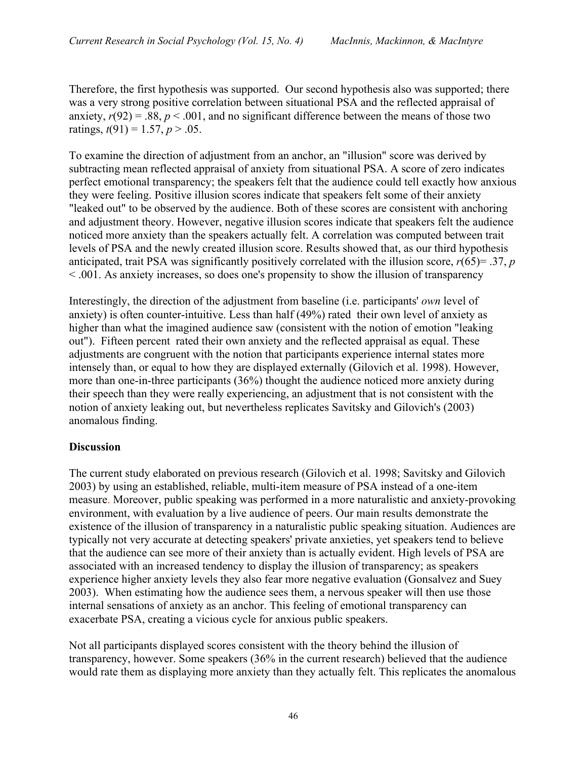Therefore, the first hypothesis was supported. Our second hypothesis also was supported; there was a very strong positive correlation between situational PSA and the reflected appraisal of anxiety,  $r(92) = .88$ ,  $p < .001$ , and no significant difference between the means of those two ratings,  $t(91) = 1.57$ ,  $p > .05$ .

To examine the direction of adjustment from an anchor, an "illusion" score was derived by subtracting mean reflected appraisal of anxiety from situational PSA. A score of zero indicates perfect emotional transparency; the speakers felt that the audience could tell exactly how anxious they were feeling. Positive illusion scores indicate that speakers felt some of their anxiety "leaked out" to be observed by the audience. Both of these scores are consistent with anchoring and adjustment theory. However, negative illusion scores indicate that speakers felt the audience noticed more anxiety than the speakers actually felt. A correlation was computed between trait levels of PSA and the newly created illusion score. Results showed that, as our third hypothesis anticipated, trait PSA was significantly positively correlated with the illusion score,  $r(65) = .37$ , *p* < .001. As anxiety increases, so does one's propensity to show the illusion of transparency

Interestingly, the direction of the adjustment from baseline (i.e. participants' *own* level of anxiety) is often counter-intuitive. Less than half (49%) rated their own level of anxiety as higher than what the imagined audience saw (consistent with the notion of emotion "leaking out"). Fifteen percent rated their own anxiety and the reflected appraisal as equal. These adjustments are congruent with the notion that participants experience internal states more intensely than, or equal to how they are displayed externally (Gilovich et al. 1998). However, more than one-in-three participants (36%) thought the audience noticed more anxiety during their speech than they were really experiencing, an adjustment that is not consistent with the notion of anxiety leaking out, but nevertheless replicates Savitsky and Gilovich's (2003) anomalous finding.

#### **Discussion**

The current study elaborated on previous research (Gilovich et al. 1998; Savitsky and Gilovich 2003) by using an established, reliable, multi-item measure of PSA instead of a one-item measure. Moreover, public speaking was performed in a more naturalistic and anxiety-provoking environment, with evaluation by a live audience of peers. Our main results demonstrate the existence of the illusion of transparency in a naturalistic public speaking situation. Audiences are typically not very accurate at detecting speakers' private anxieties, yet speakers tend to believe that the audience can see more of their anxiety than is actually evident. High levels of PSA are associated with an increased tendency to display the illusion of transparency; as speakers experience higher anxiety levels they also fear more negative evaluation (Gonsalvez and Suey 2003). When estimating how the audience sees them, a nervous speaker will then use those internal sensations of anxiety as an anchor. This feeling of emotional transparency can exacerbate PSA, creating a vicious cycle for anxious public speakers.

Not all participants displayed scores consistent with the theory behind the illusion of transparency, however. Some speakers (36% in the current research) believed that the audience would rate them as displaying more anxiety than they actually felt. This replicates the anomalous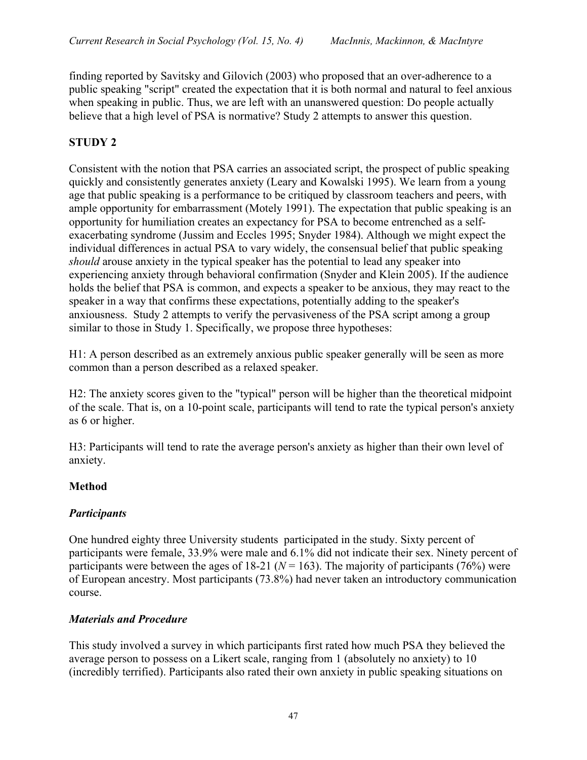finding reported by Savitsky and Gilovich (2003) who proposed that an over-adherence to a public speaking "script" created the expectation that it is both normal and natural to feel anxious when speaking in public. Thus, we are left with an unanswered question: Do people actually believe that a high level of PSA is normative? Study 2 attempts to answer this question.

# **STUDY 2**

Consistent with the notion that PSA carries an associated script, the prospect of public speaking quickly and consistently generates anxiety (Leary and Kowalski 1995). We learn from a young age that public speaking is a performance to be critiqued by classroom teachers and peers, with ample opportunity for embarrassment (Motely 1991). The expectation that public speaking is an opportunity for humiliation creates an expectancy for PSA to become entrenched as a selfexacerbating syndrome (Jussim and Eccles 1995; Snyder 1984). Although we might expect the individual differences in actual PSA to vary widely, the consensual belief that public speaking *should* arouse anxiety in the typical speaker has the potential to lead any speaker into experiencing anxiety through behavioral confirmation (Snyder and Klein 2005). If the audience holds the belief that PSA is common, and expects a speaker to be anxious, they may react to the speaker in a way that confirms these expectations, potentially adding to the speaker's anxiousness. Study 2 attempts to verify the pervasiveness of the PSA script among a group similar to those in Study 1. Specifically, we propose three hypotheses:

H1: A person described as an extremely anxious public speaker generally will be seen as more common than a person described as a relaxed speaker.

H2: The anxiety scores given to the "typical" person will be higher than the theoretical midpoint of the scale. That is, on a 10-point scale, participants will tend to rate the typical person's anxiety as 6 or higher.

H3: Participants will tend to rate the average person's anxiety as higher than their own level of anxiety.

# **Method**

### *Participants*

One hundred eighty three University students participated in the study. Sixty percent of participants were female, 33.9% were male and 6.1% did not indicate their sex. Ninety percent of participants were between the ages of 18-21 ( $N = 163$ ). The majority of participants (76%) were of European ancestry. Most participants (73.8%) had never taken an introductory communication course.

### *Materials and Procedure*

This study involved a survey in which participants first rated how much PSA they believed the average person to possess on a Likert scale, ranging from 1 (absolutely no anxiety) to 10 (incredibly terrified). Participants also rated their own anxiety in public speaking situations on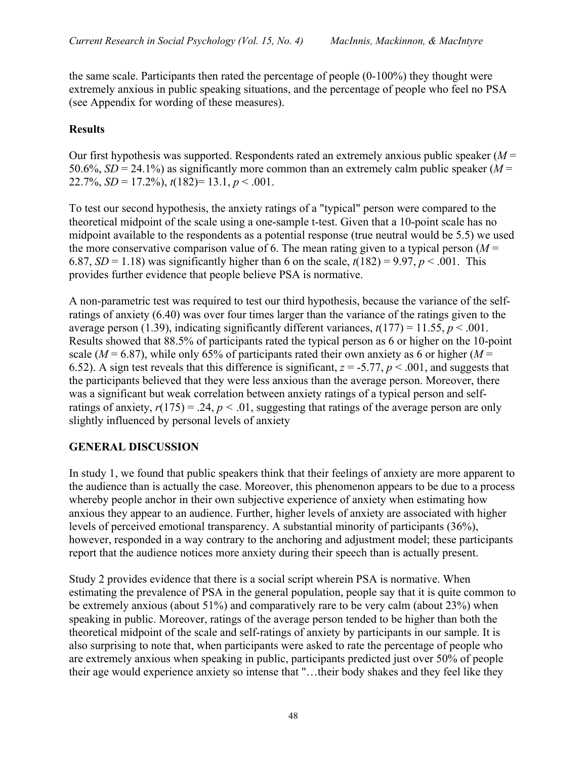the same scale. Participants then rated the percentage of people (0-100%) they thought were extremely anxious in public speaking situations, and the percentage of people who feel no PSA (see Appendix for wording of these measures).

### **Results**

Our first hypothesis was supported. Respondents rated an extremely anxious public speaker (*M* = 50.6%,  $SD = 24.1\%$ ) as significantly more common than an extremely calm public speaker ( $M =$ 22.7%,  $SD = 17.2\%$ ,  $t(182)= 13.1, p < .001$ .

To test our second hypothesis, the anxiety ratings of a "typical" person were compared to the theoretical midpoint of the scale using a one-sample t-test. Given that a 10-point scale has no midpoint available to the respondents as a potential response (true neutral would be 5.5) we used the more conservative comparison value of 6. The mean rating given to a typical person  $(M =$ 6.87, *SD* = 1.18) was significantly higher than 6 on the scale,  $t(182) = 9.97$ ,  $p < .001$ . This provides further evidence that people believe PSA is normative.

A non-parametric test was required to test our third hypothesis, because the variance of the selfratings of anxiety (6.40) was over four times larger than the variance of the ratings given to the average person (1.39), indicating significantly different variances,  $t(177) = 11.55$ ,  $p < .001$ . Results showed that 88.5% of participants rated the typical person as 6 or higher on the 10-point scale ( $M = 6.87$ ), while only 65% of participants rated their own anxiety as 6 or higher ( $M =$ 6.52). A sign test reveals that this difference is significant,  $z = -5.77$ ,  $p < .001$ , and suggests that the participants believed that they were less anxious than the average person. Moreover, there was a significant but weak correlation between anxiety ratings of a typical person and selfratings of anxiety,  $r(175) = .24$ ,  $p < .01$ , suggesting that ratings of the average person are only slightly influenced by personal levels of anxiety

### **GENERAL DISCUSSION**

In study 1, we found that public speakers think that their feelings of anxiety are more apparent to the audience than is actually the case. Moreover, this phenomenon appears to be due to a process whereby people anchor in their own subjective experience of anxiety when estimating how anxious they appear to an audience. Further, higher levels of anxiety are associated with higher levels of perceived emotional transparency. A substantial minority of participants (36%), however, responded in a way contrary to the anchoring and adjustment model; these participants report that the audience notices more anxiety during their speech than is actually present.

Study 2 provides evidence that there is a social script wherein PSA is normative. When estimating the prevalence of PSA in the general population, people say that it is quite common to be extremely anxious (about 51%) and comparatively rare to be very calm (about 23%) when speaking in public. Moreover, ratings of the average person tended to be higher than both the theoretical midpoint of the scale and self-ratings of anxiety by participants in our sample. It is also surprising to note that, when participants were asked to rate the percentage of people who are extremely anxious when speaking in public, participants predicted just over 50% of people their age would experience anxiety so intense that "…their body shakes and they feel like they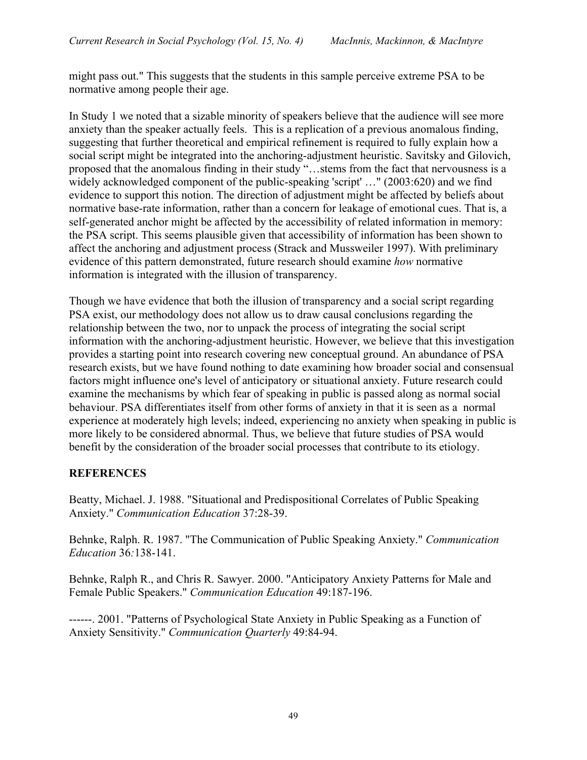might pass out." This suggests that the students in this sample perceive extreme PSA to be normative among people their age.

In Study 1 we noted that a sizable minority of speakers believe that the audience will see more anxiety than the speaker actually feels. This is a replication of a previous anomalous finding, suggesting that further theoretical and empirical refinement is required to fully explain how a social script might be integrated into the anchoring-adjustment heuristic. Savitsky and Gilovich, proposed that the anomalous finding in their study "…stems from the fact that nervousness is a widely acknowledged component of the public-speaking 'script' …" (2003:620) and we find evidence to support this notion. The direction of adjustment might be affected by beliefs about normative base-rate information, rather than a concern for leakage of emotional cues. That is, a self-generated anchor might be affected by the accessibility of related information in memory: the PSA script. This seems plausible given that accessibility of information has been shown to affect the anchoring and adjustment process (Strack and Mussweiler 1997). With preliminary evidence of this pattern demonstrated, future research should examine *how* normative information is integrated with the illusion of transparency.

Though we have evidence that both the illusion of transparency and a social script regarding PSA exist, our methodology does not allow us to draw causal conclusions regarding the relationship between the two, nor to unpack the process of integrating the social script information with the anchoring-adjustment heuristic. However, we believe that this investigation provides a starting point into research covering new conceptual ground. An abundance of PSA research exists, but we have found nothing to date examining how broader social and consensual factors might influence one's level of anticipatory or situational anxiety. Future research could examine the mechanisms by which fear of speaking in public is passed along as normal social behaviour. PSA differentiates itself from other forms of anxiety in that it is seen as a normal experience at moderately high levels; indeed, experiencing no anxiety when speaking in public is more likely to be considered abnormal. Thus, we believe that future studies of PSA would benefit by the consideration of the broader social processes that contribute to its etiology.

#### **REFERENCES**

Beatty, Michael. J. 1988. "Situational and Predispositional Correlates of Public Speaking Anxiety." *Communication Education* 37:28-39.

Behnke, Ralph. R. 1987. "The Communication of Public Speaking Anxiety." *Communication Education* 36*:*138-141.

Behnke, Ralph R., and Chris R. Sawyer. 2000. "Anticipatory Anxiety Patterns for Male and Female Public Speakers." *Communication Education* 49:187-196.

------. 2001. "Patterns of Psychological State Anxiety in Public Speaking as a Function of Anxiety Sensitivity." *Communication Quarterly* 49:84-94.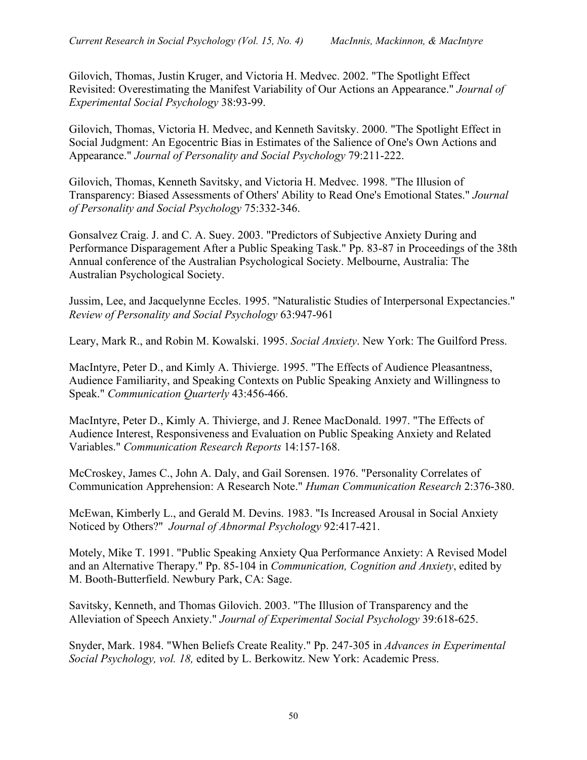Gilovich, Thomas, Justin Kruger, and Victoria H. Medvec. 2002. "The Spotlight Effect Revisited: Overestimating the Manifest Variability of Our Actions an Appearance." *Journal of Experimental Social Psychology* 38:93-99.

Gilovich, Thomas, Victoria H. Medvec, and Kenneth Savitsky. 2000. "The Spotlight Effect in Social Judgment: An Egocentric Bias in Estimates of the Salience of One's Own Actions and Appearance." *Journal of Personality and Social Psychology* 79:211-222.

Gilovich, Thomas, Kenneth Savitsky, and Victoria H. Medvec. 1998. "The Illusion of Transparency: Biased Assessments of Others' Ability to Read One's Emotional States." *Journal of Personality and Social Psychology* 75:332-346.

Gonsalvez Craig. J. and C. A. Suey. 2003. "Predictors of Subjective Anxiety During and Performance Disparagement After a Public Speaking Task." Pp. 83-87 in Proceedings of the 38th Annual conference of the Australian Psychological Society. Melbourne, Australia: The Australian Psychological Society.

Jussim, Lee, and Jacquelynne Eccles. 1995. "Naturalistic Studies of Interpersonal Expectancies." *Review of Personality and Social Psychology* 63:947-961

Leary, Mark R., and Robin M. Kowalski. 1995. *Social Anxiety*. New York: The Guilford Press.

MacIntyre, Peter D., and Kimly A. Thivierge. 1995. "The Effects of Audience Pleasantness, Audience Familiarity, and Speaking Contexts on Public Speaking Anxiety and Willingness to Speak." *Communication Quarterly* 43:456-466.

MacIntyre, Peter D., Kimly A. Thivierge, and J. Renee MacDonald. 1997. "The Effects of Audience Interest, Responsiveness and Evaluation on Public Speaking Anxiety and Related Variables." *Communication Research Reports* 14:157-168.

McCroskey, James C., John A. Daly, and Gail Sorensen. 1976. "Personality Correlates of Communication Apprehension: A Research Note." *Human Communication Research* 2:376-380.

McEwan, Kimberly L., and Gerald M. Devins. 1983. "Is Increased Arousal in Social Anxiety Noticed by Others?" *Journal of Abnormal Psychology* 92:417-421.

Motely, Mike T. 1991. "Public Speaking Anxiety Qua Performance Anxiety: A Revised Model and an Alternative Therapy." Pp. 85-104 in *Communication, Cognition and Anxiety*, edited by M. Booth-Butterfield. Newbury Park, CA: Sage.

Savitsky, Kenneth, and Thomas Gilovich. 2003. "The Illusion of Transparency and the Alleviation of Speech Anxiety." *Journal of Experimental Social Psychology* 39:618-625.

Snyder, Mark. 1984. "When Beliefs Create Reality." Pp. 247-305 in *Advances in Experimental Social Psychology, vol. 18,* edited by L. Berkowitz. New York: Academic Press.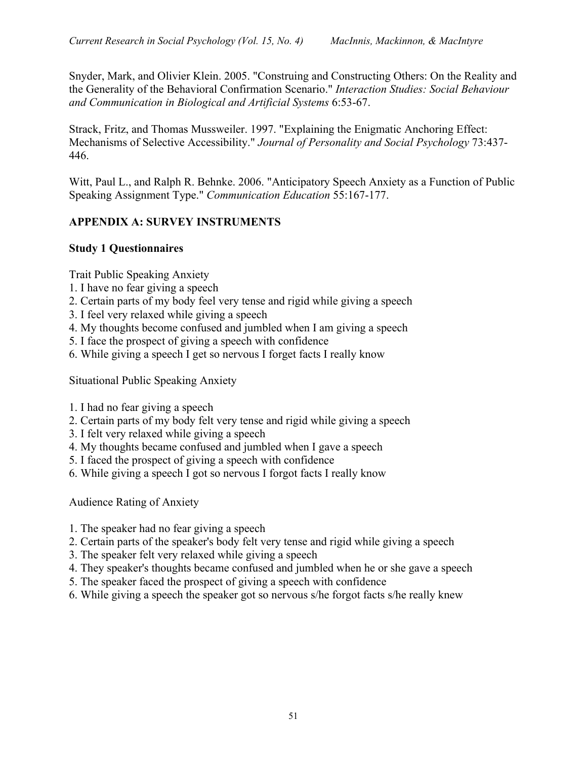Snyder, Mark, and Olivier Klein. 2005. "Construing and Constructing Others: On the Reality and the Generality of the Behavioral Confirmation Scenario." *Interaction Studies: Social Behaviour and Communication in Biological and Artificial Systems* 6:53-67.

Strack, Fritz, and Thomas Mussweiler. 1997. "Explaining the Enigmatic Anchoring Effect: Mechanisms of Selective Accessibility." *Journal of Personality and Social Psychology* 73:437- 446.

Witt, Paul L., and Ralph R. Behnke. 2006. "Anticipatory Speech Anxiety as a Function of Public Speaking Assignment Type." *Communication Education* 55:167-177.

#### **APPENDIX A: SURVEY INSTRUMENTS**

#### **Study 1 Questionnaires**

Trait Public Speaking Anxiety

- 1. I have no fear giving a speech
- 2. Certain parts of my body feel very tense and rigid while giving a speech
- 3. I feel very relaxed while giving a speech
- 4. My thoughts become confused and jumbled when I am giving a speech
- 5. I face the prospect of giving a speech with confidence
- 6. While giving a speech I get so nervous I forget facts I really know

Situational Public Speaking Anxiety

- 1. I had no fear giving a speech
- 2. Certain parts of my body felt very tense and rigid while giving a speech
- 3. I felt very relaxed while giving a speech
- 4. My thoughts became confused and jumbled when I gave a speech
- 5. I faced the prospect of giving a speech with confidence
- 6. While giving a speech I got so nervous I forgot facts I really know

Audience Rating of Anxiety

- 1. The speaker had no fear giving a speech
- 2. Certain parts of the speaker's body felt very tense and rigid while giving a speech
- 3. The speaker felt very relaxed while giving a speech
- 4. They speaker's thoughts became confused and jumbled when he or she gave a speech
- 5. The speaker faced the prospect of giving a speech with confidence
- 6. While giving a speech the speaker got so nervous s/he forgot facts s/he really knew